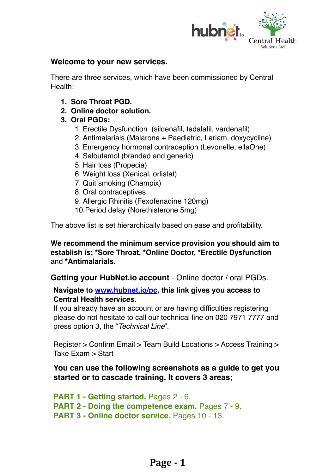

#### **Welcome to your new services.**

There are three services, which have been commissioned by Central Health:

- **1. Sore Throat PGD.**
- **2. Online doctor solution.**
- **3. Oral PGDs:**
	- 1. Erectile Dysfunction (sildenafil, tadalafil, vardenafil)
	- 2. Antimalarials (Malarone + Paediatric, Lariam, doxycycline)
	- 3. Emergency hormonal contraception (Levonelle, ellaOne)
	- 4. Salbutamol (branded and generic)
	- 5. Hair loss (Propecia)
	- 6. Weight loss (Xenical, orlistat)
	- 7. Quit smoking (Champix)
	- 8. Oral contraceptives
	- 9. Allergic Rhinitis (Fexofenadine 120mg)
	- 10.Period delay (Norethisterone 5mg)

The above list is set hierarchically based on ease and profitability.

**We recommend the minimum service provision you should aim to establish is; \*Sore Throat, \*Online Doctor, \*Erectile Dysfunction**  and **\*Antimalarials.**

**Getting your HubNet.io account** - Online doctor / oral PGDs.

#### **Navigate to [www.hubnet.io/pc](http://www.hubnet.io/pc), this link gives you access to Central Health services.**

If you already have an account or are having difficulties registering please do not hesitate to call our technical line on 020 7971 7777 and press option 3, the "*Technical Line*".

Register > Confirm Email > Team Build Locations > Access Training > Take Exam > Start

### **You can use the following screenshots as a guide to get you started or to cascade training. It covers 3 areas;**

**PART 1 - Getting started.** Pages 2 - 6. **PART 2 - Doing the competence exam.** Pages 7 - 9. **PART 3 - Online doctor service.** Pages 10 - 13.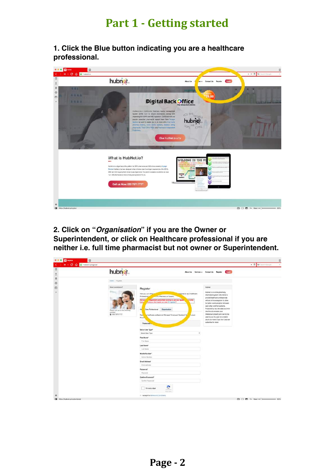# **Part 1 - Getting started**

**1. Click the Blue button indicating you are a healthcare professional.**



#### **2. Click on "***Organisation***" if you are the Owner or Superintendent, or click on Healthcare professional if you are neither i.e. full time pharmacist but not owner or Superintendent.**

| <b>El</b> seguen<br>$\overline{u}$<br><b>K C Q R NUCH DESCRIPTION</b><br>k |                                                                                              |                                                                                                                                                                                                                                                                                                                                                                                                                              |                                                                                                                                                                                                                                                                                                                                                                                                                                                        | 巨<br>T Qr Neeth Gorgie<br>٠   |
|----------------------------------------------------------------------------|----------------------------------------------------------------------------------------------|------------------------------------------------------------------------------------------------------------------------------------------------------------------------------------------------------------------------------------------------------------------------------------------------------------------------------------------------------------------------------------------------------------------------------|--------------------------------------------------------------------------------------------------------------------------------------------------------------------------------------------------------------------------------------------------------------------------------------------------------------------------------------------------------------------------------------------------------------------------------------------------------|-------------------------------|
| $\Box$<br>$\frac{1}{2}$                                                    | hubnet.                                                                                      |                                                                                                                                                                                                                                                                                                                                                                                                                              | <b>Login</b><br>About Un Services - Contact Un Register                                                                                                                                                                                                                                                                                                                                                                                                |                               |
| $\boxtimes$<br>$\circ$                                                     | Home : Regaler                                                                               |                                                                                                                                                                                                                                                                                                                                                                                                                              |                                                                                                                                                                                                                                                                                                                                                                                                                                                        |                               |
| $\Box$<br>٠                                                                | <b>New estimate</b><br>Please call us on the following<br>russeer.<br><b>室</b> 420 7071 7777 | Register<br>pone or as a Heatham<br>Here you can either<br>Protessional 1<br>If a Pharmacy or Surgery.<br>Are yo-<br>dependent prescriber looking to use your quals.<br>in to the<br>Contribute MI were not integrate and track<br>naw<br>m<br>Cura Professional Crganisation<br><b>Busy</b><br>healthcare professional: Manager/ Employee/ Assistant/ N<br><b>Locure</b><br>Phone:<br>Personar.<br><b>Golect Unor Type*</b> | <b>Hubhet</b><br>yourning artime ns to topols.<br>Information eystem. We intend to<br>provide healthcare professionals<br>with an online ecosystem to allow<br>for batter communication setween.<br>each other and their patients.<br>Protected by low, the cicla you enter<br>ing this site remains year.<br>interestual property and cannot be<br>used by us. Our goal is to enable<br>you to do mote, if you like it you can<br>subscribe for more! |                               |
|                                                                            |                                                                                              | $\ddot{}$<br><b>Gelect User Type</b><br>Float Hame*<br>First Marrie<br>Lost Name*<br>Last Nava<br>Mobile Number*<br>Millim Maritier<br>Ernst Address*<br>Engl.address<br>Passward*<br>Págyvord                                                                                                                                                                                                                               |                                                                                                                                                                                                                                                                                                                                                                                                                                                        |                               |
| ٠                                                                          |                                                                                              | Cartism Password*<br>Dankers Password<br>fim not a robot<br>istarmia<br>Ford Ser<br>El taccept the Termi and Conditions.                                                                                                                                                                                                                                                                                                     |                                                                                                                                                                                                                                                                                                                                                                                                                                                        | WE I'D ME AN INSTANT NAMED IN |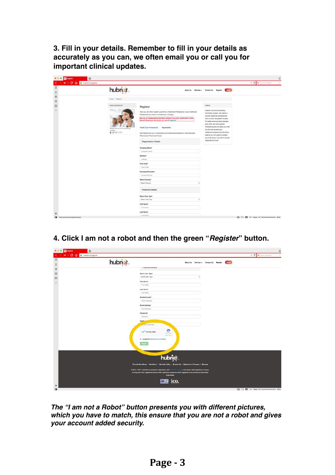**3. Fill in your details. Remember to fill in your details as accurately as you can, we often email you or call you for important clinical updates.**

| <b>E2</b> NopMar<br>司<br>If C Q & Instructio/register |                                            |                                                                                                                                                                                |                                                                                                                                                                                 | ū<br>· Il Qr barch Google |
|-------------------------------------------------------|--------------------------------------------|--------------------------------------------------------------------------------------------------------------------------------------------------------------------------------|---------------------------------------------------------------------------------------------------------------------------------------------------------------------------------|---------------------------|
| $\Box$                                                | hubnet.                                    |                                                                                                                                                                                | Logill<br>About Us Services - Contact Us: Register                                                                                                                              |                           |
| $\frac{1}{2}$                                         | Harre / Rigislav                           |                                                                                                                                                                                |                                                                                                                                                                                 |                           |
| $\Box$                                                | Reed assistance?                           | Register<br>Here you can either register yourself as a Healthcare Professional or as a Healthcare<br>Professional and cremer of a Pharmacy or Surgery.                         | Hutmit.<br>Hubnet is an online pharmacy.<br>Information ayatem. We intend to<br>provide healthcare professionals                                                                |                           |
|                                                       | Please call us on the following<br>runble: | Are you an independent prescriber looking to use your qualification to the<br>Fullent? Would you like to join our new 1P register?<br>Health Care Professional<br>Organisation | with an online ecosystem to allow<br>for better communication between<br>each other and their patients.<br>Protected by law, the class you enter<br>Into this site remains your |                           |
|                                                       | 室 020 7971 7777                            | Dual Registration as an Organisation and healthcore professional: Superintendent<br>Pharmaciata/ Pharmaciat Owner<br>Organisation Details                                      | interestiat property and cannot be.<br>used by us. Our goal is to enable<br>you to do more, if you like it you can<br>subscribe for more!                                       |                           |
|                                                       |                                            | Company Name*<br>Company Nems                                                                                                                                                  |                                                                                                                                                                                 |                           |
|                                                       |                                            | Address*<br>Attima                                                                                                                                                             |                                                                                                                                                                                 |                           |
|                                                       |                                            | Post Code*<br><b>Post Code</b>                                                                                                                                                 |                                                                                                                                                                                 |                           |
|                                                       |                                            | Premises Phone No."<br>Contact Norther                                                                                                                                         |                                                                                                                                                                                 |                           |
|                                                       |                                            | Select Country*<br>Baker Country                                                                                                                                               |                                                                                                                                                                                 |                           |
|                                                       |                                            | Personal Details                                                                                                                                                               |                                                                                                                                                                                 |                           |
|                                                       |                                            | Select User Type"<br><b>Timing Union Type</b>                                                                                                                                  |                                                                                                                                                                                 |                           |
|                                                       |                                            | First Name*<br>First Name                                                                                                                                                      |                                                                                                                                                                                 |                           |
| ۰<br>[M trips://tubnet.in/register/langid             |                                            | Last Name*<br>Last Natio                                                                                                                                                       |                                                                                                                                                                                 |                           |

**4. Click I am not a robot and then the green "***Register***" button.**

| <b>El</b> Septem                                               | 13      |                                                                                                          |                                      |                                         |       | 巨                       |
|----------------------------------------------------------------|---------|----------------------------------------------------------------------------------------------------------|--------------------------------------|-----------------------------------------|-------|-------------------------|
| <b>M</b> C Q R hubnabaj/ogister<br>$\langle \cdot \rangle$     |         |                                                                                                          |                                      |                                         |       | T Qr Seenth Gorgie<br>٠ |
| $\Box$                                                         | hubnet. |                                                                                                          |                                      | About Un Services - Contact Un Register | Login |                         |
| $\begin{array}{c}\n\bullet \\ \bullet \\ \bullet\n\end{array}$ |         | IT ARRESTED APPEARING                                                                                    |                                      |                                         |       |                         |
|                                                                |         | Select User Type*                                                                                        |                                      |                                         |       |                         |
|                                                                |         | Salect Unir Type                                                                                         |                                      |                                         |       |                         |
| D                                                              |         | First Name*                                                                                              |                                      |                                         |       |                         |
| ٠                                                              |         | First Haven                                                                                              |                                      |                                         |       |                         |
|                                                                |         | Last Name*                                                                                               |                                      |                                         |       |                         |
|                                                                |         | ListNave                                                                                                 |                                      |                                         |       |                         |
|                                                                |         | Mobile Number*                                                                                           |                                      |                                         |       |                         |
|                                                                |         | Misson Nordan                                                                                            |                                      |                                         |       |                         |
|                                                                |         | Ernall Address*                                                                                          |                                      |                                         |       |                         |
|                                                                |         | Email soldiests                                                                                          |                                      |                                         |       |                         |
|                                                                |         | Password*                                                                                                |                                      |                                         |       |                         |
|                                                                |         | Pasiwast                                                                                                 |                                      |                                         |       |                         |
|                                                                |         | Cer <sup>6</sup>                                                                                         |                                      |                                         |       |                         |
|                                                                |         | <b>Committee Property of</b>                                                                             |                                      |                                         |       |                         |
|                                                                |         | e<br>/ I'm not a rated                                                                                   |                                      |                                         |       |                         |
|                                                                |         | ackerous.<br><b>Branch Street</b>                                                                        |                                      |                                         |       |                         |
|                                                                |         | W. 1 accept the Tarms and Conditions,                                                                    |                                      |                                         |       |                         |
|                                                                |         | <b>Depote</b>                                                                                            |                                      |                                         |       |                         |
|                                                                |         |                                                                                                          |                                      |                                         |       |                         |
|                                                                |         |                                                                                                          |                                      |                                         |       |                         |
|                                                                |         |                                                                                                          |                                      |                                         |       |                         |
|                                                                |         | hubnet.                                                                                                  |                                      |                                         |       |                         |
|                                                                |         | Terms & Conditions   Disclaimer   Security Policy   Contact Us   Statement of Purpose   Sitemap          |                                      |                                         |       |                         |
|                                                                |         | @ 2014 - 2017 Hubfvet to in operated in association with                                                 | a UK house), GOG-registered company, |                                         |       |                         |
|                                                                |         | working with GMC registered doctors, NMC registered runses and GPIC registaned phormacism and associated |                                      |                                         |       |                         |
|                                                                |         | phormacion.                                                                                              |                                      |                                         |       |                         |
|                                                                |         | ico.<br>黑黑                                                                                               |                                      |                                         |       |                         |
| ₽                                                              |         |                                                                                                          |                                      |                                         |       |                         |
| m                                                              |         |                                                                                                          |                                      |                                         |       | ◎□ ■ 5 list(=○ → 30%)   |

*The "I am not a Robot" button presents you with different pictures, which you have to match, this ensure that you are not a robot and gives your account added security.*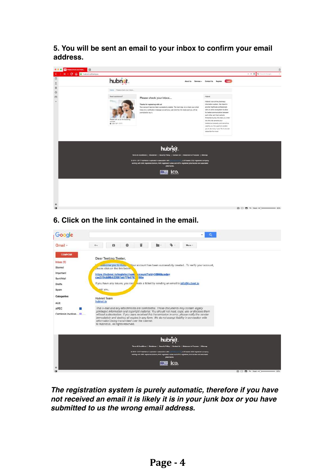**5. You will be sent an email to your inbox to confirm your email address.**



### **6. Click on the link contained in the email.**



*The registration system is purely automatic, therefore if you have not received an email it is likely it is in your junk box or you have submitted to us the wrong email address.*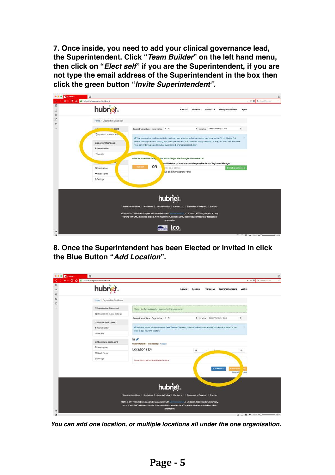**7. Once inside, you need to add your clinical governance lead, the Superintendent. Click "***Team Builder***" on the left hand menu, then click on "***Elect self***" if you are the Superintendent, if you are not type the email address of the Superintendent in the box then click the green button "***Invite Superintendent".*



**8. Once the Superintendent has been Elected or Invited in click the Blue Button "***Add Location***".**

| hubnet.                         | Contact Us<br>Testing's Dashboard<br>LogOut<br>About Us<br>Services -                                                    |
|---------------------------------|--------------------------------------------------------------------------------------------------------------------------|
| Home / Organisation Dashboard   |                                                                                                                          |
| E Organisation Dashboard        | Superintendent successfully assigned to the organisation.                                                                |
| of Organisation Global Settings | # Location Select Pharmacy / Clinic                                                                                      |
| E Location Dashboard            | Current workplace: Digarisation # - IN                                                                                   |
| + Team Builder                  | @ Now that in has a Superintendent (Test Testing). You need to set up individual pharmacies click the blue button to the |
| A Website                       | right to add your first location.                                                                                        |
| E Pharmacíst Dashboard          | $ln \rho$<br>Superintendent : Test Testing Change                                                                        |
| E Training Log                  | Locations (0)<br>AE<br>Go<br>è.                                                                                          |
| <b>PF Quick Forms</b>           |                                                                                                                          |
| O Settings                      | No record found for Pharmagies / Clinics.                                                                                |
|                                 | + Add Location<br><b>DOCE</b>                                                                                            |
|                                 | <b>Semple C</b><br>ormutt                                                                                                |
|                                 |                                                                                                                          |
|                                 | hubnet.                                                                                                                  |
|                                 | Terms & Conditions   Disclaimer   Security Policy   Contact Us   Statement of Purpose   Sitemap                          |
|                                 | C 2014 - 2017 HubNet io is operated in association with continuum in a UK based, CQC registered company,                 |
|                                 |                                                                                                                          |

*You can add one location, or multiple locations all under the one organisation.*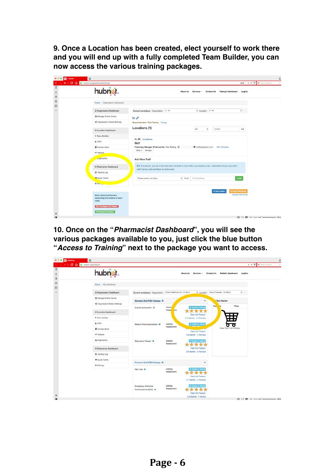**9. Once a Location has been created, elect yourself to work there and you will end up with a fully completed Team Builder, you can now access the various training packages.**

| hubnet.                                                             | Contact Us<br>About Us<br>Services -                                                                                                                                     | Testing's Dashboard<br>LogOut                                                  |
|---------------------------------------------------------------------|--------------------------------------------------------------------------------------------------------------------------------------------------------------------------|--------------------------------------------------------------------------------|
| Home / Organisation Dashboard                                       |                                                                                                                                                                          |                                                                                |
| Crganisation Dashboard                                              | # Location It-W<br>Current workplace: Organisation In - W                                                                                                                | ÷                                                                              |
| ID Manage Online Doctor                                             | $ln \ell$                                                                                                                                                                |                                                                                |
| Of Organisation Global Settings                                     | Superintendent : Test Testing Change                                                                                                                                     |                                                                                |
| E Location Dashboard                                                | Locations (1)<br>N1<br>÷                                                                                                                                                 | Go<br>Search                                                                   |
| + Team Builder                                                      |                                                                                                                                                                          |                                                                                |
| & IPMR                                                              | In, IN Edit   Delete<br>Staff                                                                                                                                            |                                                                                |
| Contact Book                                                        | Phermacy Menager (Phermacist) : Test Testing - D<br>$\sim$ 20 including process of the con-<br>PGDs = Saxing =                                                           | Edit   Replace                                                                 |
| A Website                                                           |                                                                                                                                                                          |                                                                                |
| uniprostice:                                                        | <b>Add New Staff</b>                                                                                                                                                     |                                                                                |
| E Pharmacist Dashboard                                              | O in this section, you can invite other staff nembers to work within your locations teem. Just select the job type of the<br>staff member and send them an invite email. |                                                                                |
| @ Training Log                                                      |                                                                                                                                                                          |                                                                                |
| <b>M</b> Quick Forms                                                | Errail Address<br>Please select Job Type<br>$#$ Email                                                                                                                    | <b>Invite</b>                                                                  |
| $0.5$ <sub>Black</sub>                                              |                                                                                                                                                                          |                                                                                |
| Notel Below buttons are<br>describing the actions of each<br>color. |                                                                                                                                                                          | + Add Lecation<br><b><i><u>Electric Phoenixia</u></i></b><br>Sample CBV format |

**10. Once on the "***Pharmacist Dashboard***", you will see the various packages available to you, just click the blue button "***Access to Training***" next to the package you want to access.**

| $\Box$             |                                 |                                                                |                                    |                             |                                  |                           |
|--------------------|---------------------------------|----------------------------------------------------------------|------------------------------------|-----------------------------|----------------------------------|---------------------------|
| $\frac{4}{3}$<br>日 | hubnet.                         |                                                                |                                    | About Us<br>Services -      | Contact Us<br>Malluk's Dashboard | LogOut                    |
| $\circ$<br>O       | Home / My Dashboard             |                                                                |                                    |                             |                                  |                           |
|                    | Crganisation Dashboard          | Current workplace: Organisation 4Court Heathcare Ltd - OL182LU |                                    | # Location                  | 4oourt Phonesey - OL182LU        |                           |
|                    | <b>Et Manage Online Doctor</b>  | Standard Oral PGD Package O                                    |                                    | ×                           | Your Basket                      |                           |
|                    | of Organisation Global Settings |                                                                |                                    |                             | Pro-                             | Price                     |
|                    |                                 | Erectile Dysfunction O                                         | <b>Wamn</b><br>Asset<br><b>Snt</b> | <b>Access to Tranze</b>     |                                  |                           |
|                    | E Location Dashboard            |                                                                |                                    | Robe this Product           | . .                              |                           |
|                    | + Team Builder                  |                                                                |                                    | 4.6 starred - 12 Reviews    | . .<br>. .                       |                           |
|                    | A IPMR                          | Malaria Chemoprophylaxia O                                     | Waiting<br>Assossment              | · Access to Training        |                                  |                           |
|                    | Contact Book                    |                                                                |                                    | Rate this Product           | Depal Your Cart is Empty.        |                           |
|                    | <b>r* Website</b>               |                                                                |                                    | 4.6 starred - 3 Reviews     |                                  |                           |
|                    | A Disgrestice                   | Solbutanol Repeat O                                            | Warting                            | Access to Training          |                                  |                           |
|                    |                                 |                                                                | Assessment                         | <b>Rate this Product</b>    |                                  |                           |
|                    | E Pharmacist Dashboard          |                                                                |                                    | 5.0 starred - 2 Hoviews     |                                  |                           |
|                    | <b>E</b> Training Log           |                                                                |                                    |                             |                                  |                           |
|                    | <b>MK Quick Forms</b>           | Premium Oral PGD Package O                                     |                                    | v                           |                                  |                           |
|                    | <b>O</b> Settings               |                                                                |                                    |                             |                                  |                           |
|                    |                                 | Hair Loss O                                                    | Waiting<br>Assessment              | P Access to Training        |                                  |                           |
|                    |                                 |                                                                |                                    | Rate this Product           |                                  |                           |
|                    |                                 |                                                                |                                    | 4.7 starred - 3 Heviews     |                                  |                           |
|                    |                                 | Emergency Hormonal<br>Contraceptives (EHC) @                   | Walting<br>Assessment              | <b>* Access to Training</b> |                                  |                           |
|                    |                                 |                                                                |                                    | Rate this Product           |                                  |                           |
|                    |                                 |                                                                |                                    | 5.0 starred - 1 Review      |                                  | ◎ □ 四 ** (mail → ) → 100% |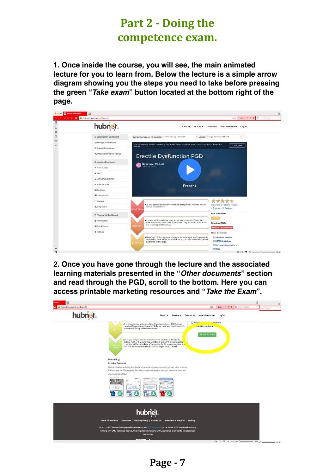# Part 2 - Doing the competence exam.

**1. Once inside the course, you will see, the main animated lecture for you to learn from. Below the lecture is a simple arrow diagram showing you the steps you need to take before pressing the green "***Take exam***" button located at the bottom right of the page.**



**2. Once you have gone through the lecture and the associated learning materials presented in the "***Other documents***" section and read through the PGD, scroll to the bottom. Here you can access printable marketing resources and "***Take the Exam***".**

| hubnet.in/pgd/pgd-certificate/19 | <b>LONE</b>                                                                                                                                                                                                                                                                                                    | same v P (I Q- Search Hongle<br>$\sim$<br><b>SCOTT GOOD IN</b> |
|----------------------------------|----------------------------------------------------------------------------------------------------------------------------------------------------------------------------------------------------------------------------------------------------------------------------------------------------------------|----------------------------------------------------------------|
| hubnet.                          | About Us<br>Contact Us<br>Khan's Dashboard<br>LogOut<br>Services +                                                                                                                                                                                                                                             |                                                                |
|                                  | Addition<br><b>Form</b><br>. It is important to understand the clinical governance (CG) behind.<br>running this new private service. Make sure you and your team read,<br><b>Anact Doctor Form</b><br>understand the sign these documents.                                                                     |                                                                |
|                                  | <b>IT Take the Exam</b><br>.Dnce you feel you are ready for the exam, click the button to the<br>bottom right of this page. You need to get over 70% or more within<br>tries. You will be locked out of the system for 24 hours everytime you<br>fail. PGD authorisations should take no longer than 72 hours. |                                                                |
|                                  | Marketing<br>Printsble Resources                                                                                                                                                                                                                                                                               |                                                                |
|                                  | CRck the images below to download the image files to your computer, you can either print the<br>PDFs or give the PSD template Nex to a professional designer who can custombe them with<br>your pharmacy details.                                                                                              |                                                                |
|                                  | ши<br>用图 米村 活泼年起<br>At Tri-Get<br>A4 Doctor<br>Gutternisation<br><b>General Privale</b><br><b>Rickswar Catlet</b><br>sidNAP<br>-Lycatler<br>Services                                                                                                                                                           |                                                                |
|                                  | hubnet.                                                                                                                                                                                                                                                                                                        |                                                                |
|                                  | Terms & Conditions   Disclaimer   Security Policy   Contact Us   Statement of Purpose   Sitemap                                                                                                                                                                                                                |                                                                |
|                                  | C 2014 - 2017 HubNatio is operated in association with the change at it, a UK brasel, CQC-registered company,<br>working with GMC registered doctors, NMC registered nurses and GPhC registered pharmacists and associated<br>pharmacies.                                                                      |                                                                |
|                                  |                                                                                                                                                                                                                                                                                                                |                                                                |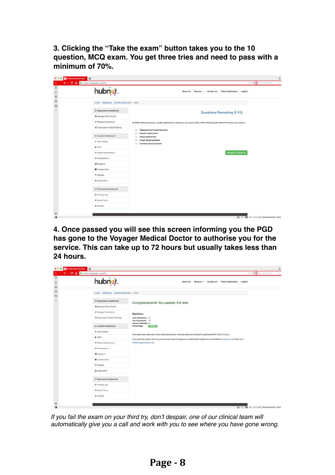**3. Clicking the "Take the exam" button takes you to the 10 question, MCQ exam. You get three tries and need to pass with a minimum of 70%.**

|             | hubnet.                                  | Khan's Dashboard<br>LogOut<br><b>About Us</b><br>Contact Us<br>Services -                                                 |
|-------------|------------------------------------------|---------------------------------------------------------------------------------------------------------------------------|
|             | Home Dashboard Erectile Oysfunction Exam |                                                                                                                           |
|             | E Organisation Dashboard                 | Questions Remaining (1/10)                                                                                                |
|             | <b>IDI</b> Manage Online Doctor          |                                                                                                                           |
|             | / Manage Governance                      | At PGD authorised doses, erectile dysfunction medicines can cause which of the following side effects? Choose one answer. |
|             | of Organisation Global Settings          | Osteoporosis if used long term.<br>$\blacksquare$                                                                         |
|             | E Location Dashboard                     | <b>Hepatic dysfunction</b><br>b.<br>Renal dysfunction<br>$\alpha$                                                         |
|             | + Team Builder                           | Lower blood pressure<br>d.<br>Increase blood pressure<br>a.                                                               |
| & PMR       |                                          |                                                                                                                           |
|             | E Clinical Governance +                  | Answer & Continue +                                                                                                       |
|             | E Prescriptions +                        |                                                                                                                           |
| 图 Registers |                                          |                                                                                                                           |
|             | Contact Book                             |                                                                                                                           |
| → Website   |                                          |                                                                                                                           |
|             | A Diagnostics                            |                                                                                                                           |
|             | E Pharmscist Dashboard                   |                                                                                                                           |
|             | S Training Log                           |                                                                                                                           |
|             | <b>P Quick Forms</b>                     |                                                                                                                           |
| O Settings  |                                          |                                                                                                                           |

**4. Once passed you will see this screen informing you the PGD has gone to the Voyager Medical Doctor to authorise you for the service. This can take up to 72 hours but usually takes less than 24 hours.**

| hubnet.                         | Khan's Dashboard<br>LogOut<br><b>About Us</b><br>Services -<br>Contact Us                                                            |
|---------------------------------|--------------------------------------------------------------------------------------------------------------------------------------|
|                                 | Home Dashboard Erectile Oysfunction Exam                                                                                             |
| E Organisation Dashboard        | Congratulations! You passed the test.                                                                                                |
| <b>IDI</b> Manage Online Doctor |                                                                                                                                      |
| / Manage Governance             | Statistics:                                                                                                                          |
| of Organisation Global Settings | Total Questions: 10                                                                                                                  |
| E Location Dashboard            | You Attempted: 10<br>Correct Answers: 10<br>Percentage:<br>100.00%                                                                   |
| + Team Builder                  | Your result have been sent to our authorizing doctor and pharmacist and should be approved within next 24 hours.                     |
| & PMR                           | If you have any issues and if you would like to push through your authentication please do not hesitate to Contact Us or email us at |
| E Clinical Governance +         | info@voyagermedical.com                                                                                                              |
| E Prescriptions +               |                                                                                                                                      |
| 图 Registers                     |                                                                                                                                      |
| Contact Book                    |                                                                                                                                      |
| → Website                       |                                                                                                                                      |
| A Diagnostics                   |                                                                                                                                      |
| E Pharmacist Dashboard          |                                                                                                                                      |
| S Training Log                  |                                                                                                                                      |
| <b>M Quick Forms</b>            |                                                                                                                                      |
| O Settings                      |                                                                                                                                      |

*If you fail the exam on your third try, don't despair, one of our clinical team will automatically give you a call and work with you to see where you have gone wrong.*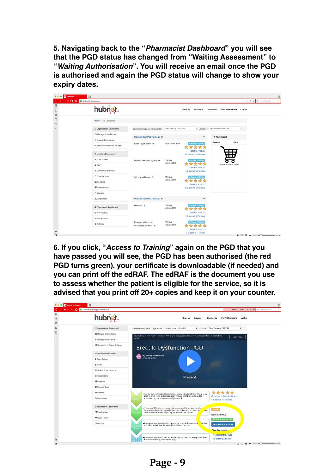**5. Navigating back to the "***Pharmacist Dashboard***" you will see that the PGD status has changed from "Waiting Assessment" to "***Waiting Authorisation***". You will receive an email once the PGD is authorised and again the PGD status will change to show your expiry dates.**

| hubnet.                         |                                                          |                              | <b>About Us</b><br>Services v                | Khan's Dashboard<br>Contact Us      | LogOut |
|---------------------------------|----------------------------------------------------------|------------------------------|----------------------------------------------|-------------------------------------|--------|
| Home / My Dashboard             |                                                          |                              |                                              |                                     |        |
| E Organisation Dashboard        | Current workplace: Organisation 28mis khin org - MirtoEG |                              |                                              | 1 Location Closs Pharmacy - TEST123 |        |
| <b>Ct Manage Online Doctor</b>  | Standard Oral PGD Package ®                              |                              | v                                            | <b>IF Your Basket</b>               |        |
| / Manage Governance             |                                                          |                              |                                              | Products                            | Price  |
| OC Organisation Global Settings | Eractile Dysfunction ®                                   | Exp: 19/03/2019              | * Access to Transity<br><b>PA 24 24</b>      |                                     |        |
| E Location Dashboard            |                                                          |                              | Rate this Product<br>4.6 stampd - 12 Reviews | П                                   |        |
| + Team Builder                  | Malaria Chemoprophylaxis 8                               | Waiting                      | * Accounts Therma                            | ۰                                   |        |
| & IPMR                          |                                                          | Assessment                   | <b>TRAT</b><br>Rate this Product             | Oops! Your Cart is Empty.           |        |
| E Clinical Governance +         |                                                          |                              | 4.6 starred - 3 Reviews                      |                                     |        |
| E Prescriptions -               | Sabutamol Repeat O                                       | Waiting<br>Assessment        | * Access to Trenting                         |                                     |        |
| III Registers                   |                                                          |                              | Rate this Product                            |                                     |        |
| Contact Book                    |                                                          |                              | 5.0 starred - 2 Reviews                      |                                     |        |
| <sup>**</sup> Velocaita:        |                                                          |                              |                                              |                                     |        |
| A Diagnostics                   | Premium Oral PGD Package 8                               |                              | $\ddot{}$                                    |                                     |        |
| E Pharmacist Dashboard          | Hair Loss O                                              | Waiting<br>Assessment        | * Access to Therma                           |                                     |        |
| S Training Log                  |                                                          |                              | Rate this Product                            |                                     |        |
| <b>M</b> Quick Forms            |                                                          |                              | 4.7 starred - 3 Reviews                      |                                     |        |
| O Settings                      | Emergency Hormonal<br>Contraceptives (EHC) @             | <b>Walting</b><br>Assessment | Access to Travers                            |                                     |        |

**6. If you click, "***Access to Training***" again on the PGD that you have passed you will see, the PGD has been authorised (the red PGD turns green), your certificate is downloadable (if needed) and you can print off the edRAF. The edRAF is the document you use to assess whether the patient is eligible for the service, so it is advised that you print off 20+ copies and keep it on your counter.**

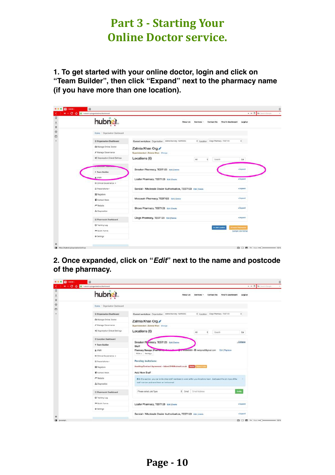## **Part 3 - Starting Your Online Doctor service.**

**1. To get started with your online doctor, login and click on "Team Builder", then click "Expand" next to the pharmacy name (if you have more than one location).**

| 口                  | C O R hubnet/o/organization/dashboard  |                                                                |                                              |                      |
|--------------------|----------------------------------------|----------------------------------------------------------------|----------------------------------------------|----------------------|
| $\frac{1}{\omega}$ | hubnet.                                | About Us                                                       | Contact Us<br>Khan's Dashboard<br>Services - | LogOut               |
| $\Box$             | Home / Organisation Dashboard          |                                                                |                                              |                      |
|                    | Crganisation Dashboard                 | Current workplace: Organisation # ##### #han org - MA/103EG    | # Location Cings Phemacy - TEST123           | $\frac{1}{2}$        |
|                    | ID Manage Online Doctor                | Zalmia Khan Org                                                |                                              |                      |
|                    | A Manage Governance                    | Superintendent : Zalmia Khan Christe                           |                                              |                      |
|                    | <b>00 Organisation Global Settings</b> | Locations (6)                                                  | <b>AI</b><br>÷<br>Search                     | Go                   |
|                    | <b>MERCHANIC MARTINS</b>               |                                                                |                                              |                      |
|                    | + Team Builder                         | Sneaker Pharmacy, TEST123 Edit Drive                           |                                              | $+$ Expand           |
|                    | & IPMR                                 | Loafer Pharmacy, TEST123 Edit Delete                           |                                              | $+$ Expand           |
|                    | El Clinical Governance +               |                                                                |                                              |                      |
|                    | 三 Prescriptions -                      | Sandal - Wholesale Dealer Authorisation, TEST123 Edit   Delete |                                              | $+$ Ekpand           |
|                    | III Registers                          |                                                                |                                              |                      |
|                    | Contact Book                           | Moccasin Pharmacy, TEST123 Edit Delate                         |                                              | + Expand             |
|                    | ** Website                             | Shoes Pharmacy, TEST123 Edit   Delate                          |                                              | $+$ Expand           |
|                    | A Diagnostica                          |                                                                |                                              |                      |
|                    | E Pharmsciat Dashboard                 | Clogs Pharmacy, TEST123 Edit   Driete                          |                                              | $+$ Expand           |
|                    | <b>B</b> Training Log                  |                                                                | + Add Legation                               | <b>Injuri Piamon</b> |
|                    | <b>MI Quick Forms</b>                  |                                                                |                                              | Sample CBV format    |
|                    | O Sertings                             |                                                                |                                              |                      |

**2. Once expanded, click on "***Edit***" next to the name and postcode of the pharmacy.** 

| и с с присократнительно         |                                                                                                                            |
|---------------------------------|----------------------------------------------------------------------------------------------------------------------------|
| hubnet.                         | Contact Us<br>Khan's Dashboard<br>LogOut<br>About Us<br>Services -                                                         |
| Home / Organisation Dashboard   |                                                                                                                            |
| Crganisation Dashboard          | Current workplace: Organisation # ##### #han org - MA/103EG<br># Location Cings Phermany - TEST123<br>$\ddot{\phantom{a}}$ |
| ID Manage Online Doctor         | Zalmia Khan Org                                                                                                            |
| A Manage Governance             | Superintendent : Zalmia Khan Christe                                                                                       |
| Of Organisation Global Settings | Locations (6)<br>Search<br>WI<br>÷.<br>Go                                                                                  |
| E Location Dashboard            |                                                                                                                            |
| + Team Builder                  | Sneaker Pharmacy, TEST123 Edit   Dalmar<br>- Collanse<br>Staff                                                             |
| & IPMR                          | Phermacy Manager (Phermathoy)<br>of ecological - @ invebpros5@gmail.com<br>Edit   Fleplace                                 |
| <b>El Clínical Governance +</b> | PGDs = Saxing =                                                                                                            |
| 三 Prescriptions -               | Pending Invitations:                                                                                                       |
| <b>III</b> Registers            | Awaiting Contract Agreement - Jabes1216@hotmail.co.uk<br><b>Newport Window</b>                                             |
| Contact Book                    | Add New Staff                                                                                                              |
| ** Website                      | O In this section, you can in die other staff members to work within your locations team. Just select the job type of the  |
| A Diagnostics                   | staff member and send them an invite email.                                                                                |
| E Pharmsciat Dashboard          | kwte<br>Please select Job Type<br>6 Email<br>Erresil Address                                                               |
| E Training Log                  |                                                                                                                            |
| <b>M Quick Forms</b>            | Loafer Pharmacy, TEST123 Edit   Delete<br>+Expand                                                                          |
|                                 |                                                                                                                            |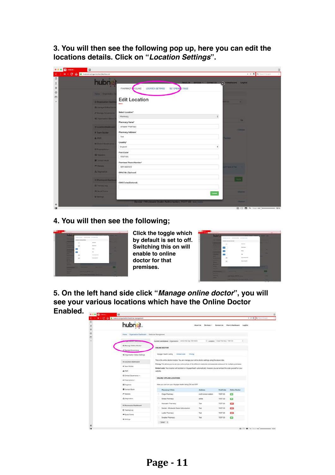**3. You will then see the following pop up, here you can edit the locations details. Click on "***Location Settings***".**

| $\overline{\mathbf{u}}$ = masser =<br>ĸ | $\Box$<br>C G B hubratio/organization/distribuand                                      |                                                                                                                      |                    | 目<br>$\mathbf{v} = \mathbf{0}$ Qr Senat Souple<br>٠        |
|-----------------------------------------|----------------------------------------------------------------------------------------|----------------------------------------------------------------------------------------------------------------------|--------------------|------------------------------------------------------------|
| $\Box$<br>$\hat{\tau}$<br>$\boxtimes$   | hubne                                                                                  | About Us Services - Contact Us (C) & Deshboard LogDut<br>PHARMACY RICUNIC<br>LOCATION SETTINGS<br>SET OPENIS & TIMES |                    |                                                            |
| $\odot$<br>O                            | Home Crammont<br><b>E Drummation Dawle</b>                                             | <b>Edit Location</b>                                                                                                 | <b>TITLE</b>       |                                                            |
|                                         | <b>Ci Marage Ciráne Cocta</b><br>2 Marriage Group Corp.<br><b>E Organizioni Gools!</b> | Select Location*<br>Pharmscy.                                                                                        | ٠                  | $\infty$                                                   |
|                                         | E Localine Destemant<br>+ Team Builder                                                 | Phärmacy Name*<br><b>Sneaker Pharmacy</b><br>Pharmacy Address*                                                       |                    | <b>Groupes</b>                                             |
|                                         | A PANT<br><b>• Сила Фонтиса</b><br>= Insecrations -                                    | Test<br>Country*<br>England                                                                                          | <b>GOLFON</b><br>÷ |                                                            |
|                                         | <b>The Houston Co.</b><br><b>B</b> Compact Book<br><b>Hildren</b>                      | Post Code*<br>TEST123<br><b>Premises Phone Number</b> *                                                              |                    |                                                            |
|                                         | 25 Diagnostics<br>= Phonneoist Deunces                                                 | 02014445557<br><b>GPhC No (Optional)</b>                                                                             |                    | <b>WITH IN 1995 (do)</b>                                   |
|                                         | <b>Gi Traming Loo</b><br><b>PEGICA FORM</b>                                            | ODS Code (Optional)                                                                                                  | Update             | «Espinit                                                   |
| ≎<br>m                                  | <b>O'SHIPOR</b>                                                                        | Sandal - Wickese e Dealer Authorisation, TEST123 (selling)                                                           |                    | <b>CERTIFICATE</b><br><b>Q □ 四 5 Hill mi ()</b><br>$-100N$ |

### **4. You will then see the following;**



**Click the toggle which by default is set to off. Switching this on will enable to online doctor for that premises.**



**5. On the left hand side click "***Manage online doctor***", you will see your various locations which have the Online Doctor Enabled.**

| hubnet.                                           |                                                                                                                                                                                                                                                            | About Us<br>Services - | Contact Us                           | Khan's Dashboard | LogOut |
|---------------------------------------------------|------------------------------------------------------------------------------------------------------------------------------------------------------------------------------------------------------------------------------------------------------------|------------------------|--------------------------------------|------------------|--------|
| Home Crganisation Daytscard   Medicine Management |                                                                                                                                                                                                                                                            |                        |                                      |                  |        |
| <b>ANGELS AND RESIDENCE</b>                       | Current workplace: Organisation basis in an oig - MANSOS                                                                                                                                                                                                   |                        | 1 Location Dops Philamacy - TEST1932 |                  |        |
| @ Manage Online Doctor<br>/ Marcege Government    | ONLINE DOCTOR                                                                                                                                                                                                                                              |                        |                                      |                  |        |
| of Organisation Global Seltings                   | Voyeger Health Listing<br>Pricing<br><b>Erritsed</b> crate                                                                                                                                                                                                 |                        |                                      |                  |        |
| <b>IE Location Dashboard</b>                      | This is the online doctor module. You can manage your online doctor settings using the asque tabs.                                                                                                                                                         |                        |                                      |                  |        |
| <b>+ Team Builder</b>                             | Pricing: This allows you to net your online prices of the different medicines and associate a discount for multiple purchases.<br>Embed code: Your location will be listed on VoyagerHealth automatically, however you can embed the oode yourself on your |                        |                                      |                  |        |
| APMR                                              | wobsite.                                                                                                                                                                                                                                                   |                        |                                      |                  |        |
| E Cirksi Governmen »                              | ONLINE/ OFFLINE LOCATIONS                                                                                                                                                                                                                                  |                        |                                      |                  |        |
| 20 Prescriptions =                                |                                                                                                                                                                                                                                                            |                        |                                      |                  |        |
| 图 Registers                                       | Here you can turn your Voyager Health listing ON and OFF                                                                                                                                                                                                   |                        |                                      |                  |        |
| Comact Book                                       | Phimamow/ Citrio                                                                                                                                                                                                                                           | <b>Address</b>         | PostCode                             | Online Dootor    |        |
| <b>M Webston</b>                                  | Clogs Phermacy                                                                                                                                                                                                                                             | morth kondon station   | <b>TEST123</b>                       | $\overline{0}$   |        |
| A Disgreetics                                     | Shows Philmiday                                                                                                                                                                                                                                            | schia                  | <b>TEST123</b>                       | $\bullet$        |        |
| If Pharmacist Dishboard                           | Moogasin Pharmacy                                                                                                                                                                                                                                          | Test                   | <b>TEBT123</b>                       | OID.             |        |
|                                                   | Sandal - Wholesale Dealer Authorisation                                                                                                                                                                                                                    | Test                   | <b>TEST 123</b>                      | <b>OIT</b>       |        |
| @ Training Log<br><b>P Quick Forms</b>            | Loeler Pharmacy                                                                                                                                                                                                                                            | Tant                   | TEST 123                             | <b>OHT</b>       |        |
|                                                   |                                                                                                                                                                                                                                                            |                        |                                      |                  |        |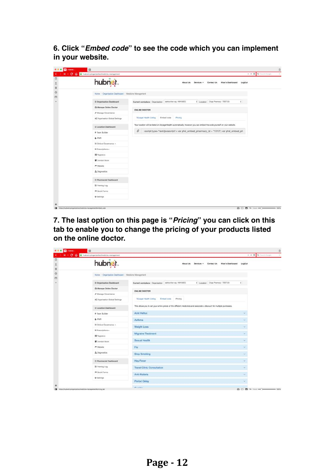**6. Click "***Embed code***" to see the code which you can implement in your website.**

|                                                     | hubnet.                         | Khan's Dashboard<br>LogOut<br><b>About Us</b><br>Services -<br>Contact Us                                             |
|-----------------------------------------------------|---------------------------------|-----------------------------------------------------------------------------------------------------------------------|
| Home / Organisation Destroyed / Medicine Management |                                 |                                                                                                                       |
|                                                     | E Organisation Dashboard        | 4 Location Cogs Pharmacy - TEST123<br>Current workplace: Organisation 201114 Plan org - NW103ED                       |
|                                                     | <b>(S) Manage Online Doctor</b> | ONLINE DOCTOR                                                                                                         |
|                                                     | / Manage Governance             |                                                                                                                       |
|                                                     | of Organisation Global Settings | Voyager Health Listing<br>Embed code<br>Pricing                                                                       |
|                                                     | E Location Dashboard            | Your location will be listed on VoyagerHealth automatically, however you can embed the code yourself on your website. |
|                                                     | + Team Builder                  | 0<br><script type="text/javascript"></script>                                                                         |

**7. The last option on this page is "***Pricing***" you can click on this tab to enable you to change the pricing of your products listed on the online doctor.**

| K C O B hubnet in/organization/medicine-management  | $\mathbf{v} \cdot \mathbf{v} = \mathbf{0} \cdot \mathbf{0}$ the form decoder                                          |
|-----------------------------------------------------|-----------------------------------------------------------------------------------------------------------------------|
| hubnet.                                             | Contact Us<br>Khan's Dashboard<br>LogOut<br><b>About Us</b><br>Services -                                             |
| Home / Organisation Destroyed / Medicine Management |                                                                                                                       |
| E Organisation Dashboard                            | # Location Cogs Pharmacy - TEST123<br>Current workplace: Organisation  Jakria khas org - MV103ED                      |
| (O Manage Online Doctor                             | ONLINE DOCTOR                                                                                                         |
| / Manage Governance                                 |                                                                                                                       |
| of Organisation Global Settings                     | Voyager Health Listing<br>Embed code<br>Pricing                                                                       |
| E Location Deshboard                                | This allows you to set your online prices of the different medicines and associate a discount for multiple purchases. |
| + Team Builder                                      | <b>Acid Reflux</b><br>$\sim$                                                                                          |
| & PMR                                               | <b>Asthma</b><br>$\sim$                                                                                               |
| E Clinical Governance -                             | Weight Loss<br>$\sim$                                                                                                 |
| E Prescriptions +                                   | <b>Migraine Treatment</b>                                                                                             |
| 图 Registers                                         | $\sim$                                                                                                                |
| Contact Book                                        | Sexual Health<br>$\sim$                                                                                               |
| - Website                                           | Flu<br>$\sim$                                                                                                         |
| A Diagnostics                                       | <b>Stop Smoking</b><br>$\sim$                                                                                         |
| E Pharmocist Dashboard                              | <b>Hay Fever</b><br>×                                                                                                 |
| C Training Log                                      | <b>Travel Clinic Consultation</b><br>$\omega$                                                                         |
| <b>P Quick Forms</b>                                | Anti-Malaria<br>$\omega$                                                                                              |
| O Settings                                          | Period Delay<br>×.                                                                                                    |